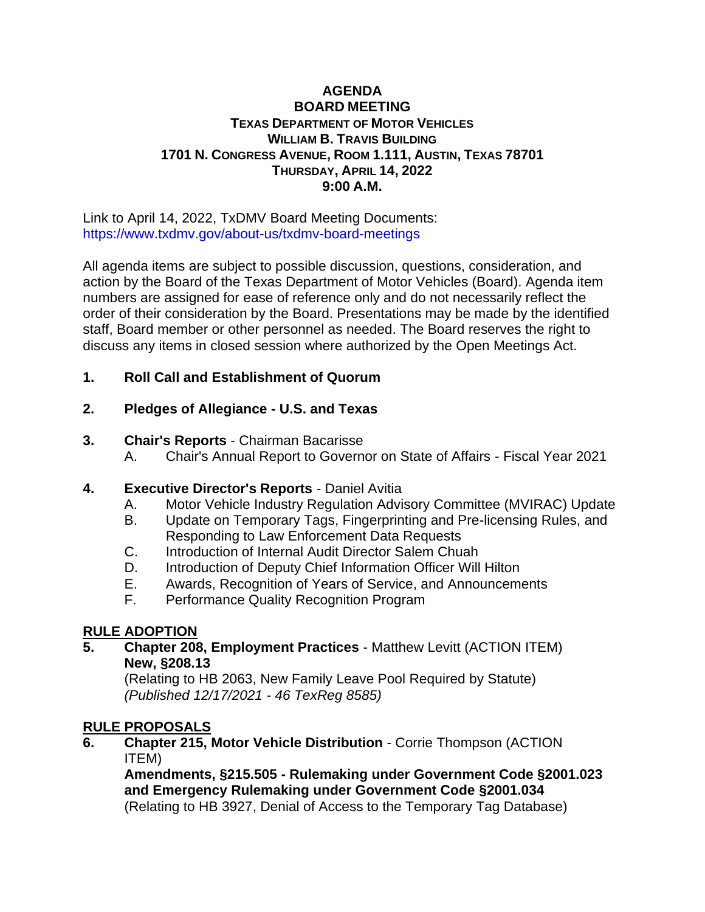### **AGENDA BOARD MEETING TEXAS DEPARTMENT OF MOTOR VEHICLES WILLIAM B. TRAVIS BUILDING 1701 N. CONGRESS AVENUE, ROOM 1.111, AUSTIN, TEXAS 78701 THURSDAY, APRIL 14, 2022 9:00 A.M.**

Link to April 14, 2022, TxDMV Board Meeting Documents: <https://www.txdmv.gov/about-us/txdmv-board-meetings>

All agenda items are subject to possible discussion, questions, consideration, and action by the Board of the Texas Department of Motor Vehicles (Board). Agenda item numbers are assigned for ease of reference only and do not necessarily reflect the order of their consideration by the Board. Presentations may be made by the identified staff, Board member or other personnel as needed. The Board reserves the right to discuss any items in closed session where authorized by the Open Meetings Act.

# **1. Roll Call and Establishment of Quorum**

# **2. Pledges of Allegiance - U.S. and Texas**

### **3. Chair's Reports** - Chairman Bacarisse

A. Chair's Annual Report to Governor on State of Affairs - Fiscal Year 2021

## **4. Executive Director's Reports** - Daniel Avitia

- A. Motor Vehicle Industry Regulation Advisory Committee (MVIRAC) Update
- B. Update on Temporary Tags, Fingerprinting and Pre-licensing Rules, and Responding to Law Enforcement Data Requests
- C. Introduction of Internal Audit Director Salem Chuah
- D. Introduction of Deputy Chief Information Officer Will Hilton
- E. Awards, Recognition of Years of Service, and Announcements
- F. Performance Quality Recognition Program

## **RULE ADOPTION**

**5. Chapter 208, Employment Practices** - Matthew Levitt (ACTION ITEM) **New, §208.13**

(Relating to HB 2063, New Family Leave Pool Required by Statute) *(Published 12/17/2021 - 46 TexReg 8585)*

## **RULE PROPOSALS**

**6. Chapter 215, Motor Vehicle Distribution** - Corrie Thompson (ACTION ITEM)

**Amendments, §215.505 - Rulemaking under Government Code §2001.023 and Emergency Rulemaking under Government Code §2001.034** (Relating to HB 3927, Denial of Access to the Temporary Tag Database)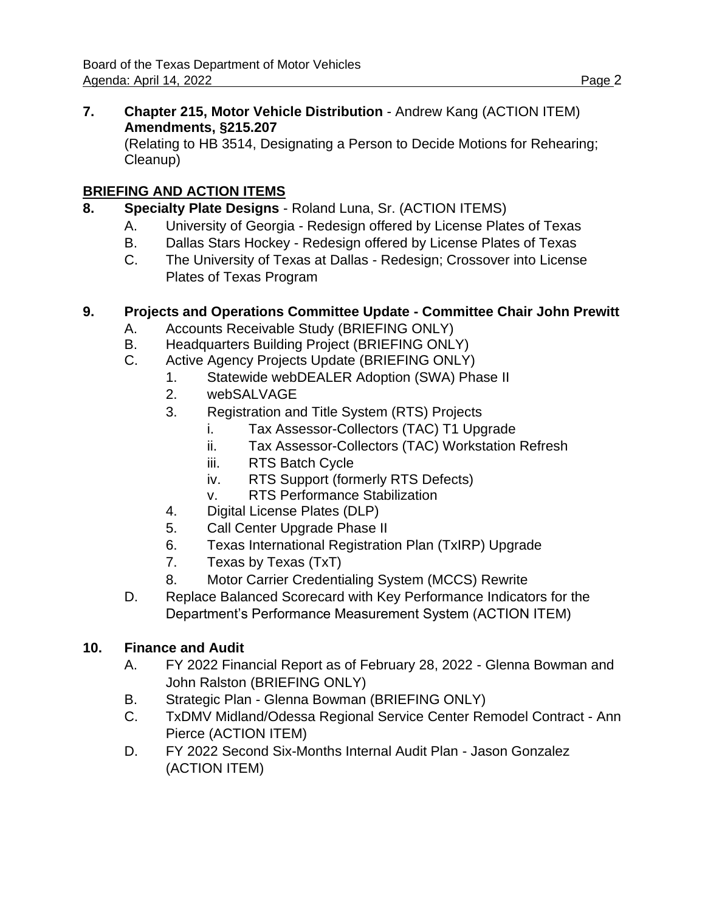**7. Chapter 215, Motor Vehicle Distribution** - Andrew Kang (ACTION ITEM) **Amendments, §215.207**

(Relating to HB 3514, Designating a Person to Decide Motions for Rehearing; Cleanup)

# **BRIEFING AND ACTION ITEMS**

- **8. Specialty Plate Designs** Roland Luna, Sr. (ACTION ITEMS)
	- A. University of Georgia Redesign offered by License Plates of Texas
	- B. Dallas Stars Hockey Redesign offered by License Plates of Texas
	- C. The University of Texas at Dallas Redesign; Crossover into License Plates of Texas Program

# **9. Projects and Operations Committee Update - Committee Chair John Prewitt**

- A. Accounts Receivable Study (BRIEFING ONLY)
- B. Headquarters Building Project (BRIEFING ONLY)
- C. Active Agency Projects Update (BRIEFING ONLY)
	- 1. Statewide webDEALER Adoption (SWA) Phase II
	- 2. webSALVAGE
	- 3. Registration and Title System (RTS) Projects
		- i. Tax Assessor-Collectors (TAC) T1 Upgrade
		- ii. Tax Assessor-Collectors (TAC) Workstation Refresh
		- iii. RTS Batch Cycle
		- iv. RTS Support (formerly RTS Defects)
		- v. RTS Performance Stabilization
	- 4. Digital License Plates (DLP)
	- 5. Call Center Upgrade Phase II
	- 6. Texas International Registration Plan (TxIRP) Upgrade
	- 7. Texas by Texas (TxT)
	- 8. Motor Carrier Credentialing System (MCCS) Rewrite
- D. Replace Balanced Scorecard with Key Performance Indicators for the Department's Performance Measurement System (ACTION ITEM)

## **10. Finance and Audit**

- A. FY 2022 Financial Report as of February 28, 2022 Glenna Bowman and John Ralston (BRIEFING ONLY)
- B. Strategic Plan Glenna Bowman (BRIEFING ONLY)
- C. TxDMV Midland/Odessa Regional Service Center Remodel Contract Ann Pierce (ACTION ITEM)
- D. FY 2022 Second Six-Months Internal Audit Plan Jason Gonzalez (ACTION ITEM)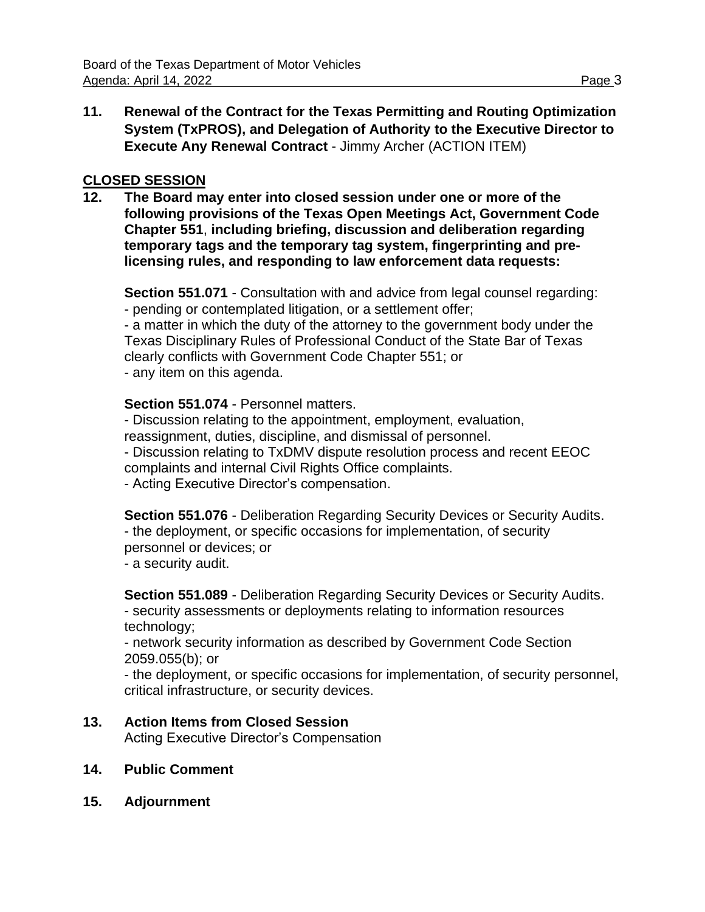**11. Renewal of the Contract for the Texas Permitting and Routing Optimization System (TxPROS), and Delegation of Authority to the Executive Director to Execute Any Renewal Contract** - Jimmy Archer (ACTION ITEM)

### **CLOSED SESSION**

**12. The Board may enter into closed session under one or more of the following provisions of the Texas Open Meetings Act, Government Code Chapter 551**, **including briefing, discussion and deliberation regarding temporary tags and the temporary tag system, fingerprinting and prelicensing rules, and responding to law enforcement data requests:**

**Section 551.071** - Consultation with and advice from legal counsel regarding: - pending or contemplated litigation, or a settlement offer;

- a matter in which the duty of the attorney to the government body under the Texas Disciplinary Rules of Professional Conduct of the State Bar of Texas clearly conflicts with Government Code Chapter 551; or

- any item on this agenda.

### **Section 551.074** - Personnel matters.

- Discussion relating to the appointment, employment, evaluation, reassignment, duties, discipline, and dismissal of personnel.

- Discussion relating to TxDMV dispute resolution process and recent EEOC complaints and internal Civil Rights Office complaints.

- Acting Executive Director's compensation.

**Section 551.076** - Deliberation Regarding Security Devices or Security Audits. - the deployment, or specific occasions for implementation, of security personnel or devices; or

- a security audit.

**Section 551.089** - Deliberation Regarding Security Devices or Security Audits. - security assessments or deployments relating to information resources technology;

- network security information as described by Government Code Section 2059.055(b); or

- the deployment, or specific occasions for implementation, of security personnel, critical infrastructure, or security devices.

## **13. Action Items from Closed Session**

Acting Executive Director's Compensation

- **14. Public Comment**
- **15. Adjournment**